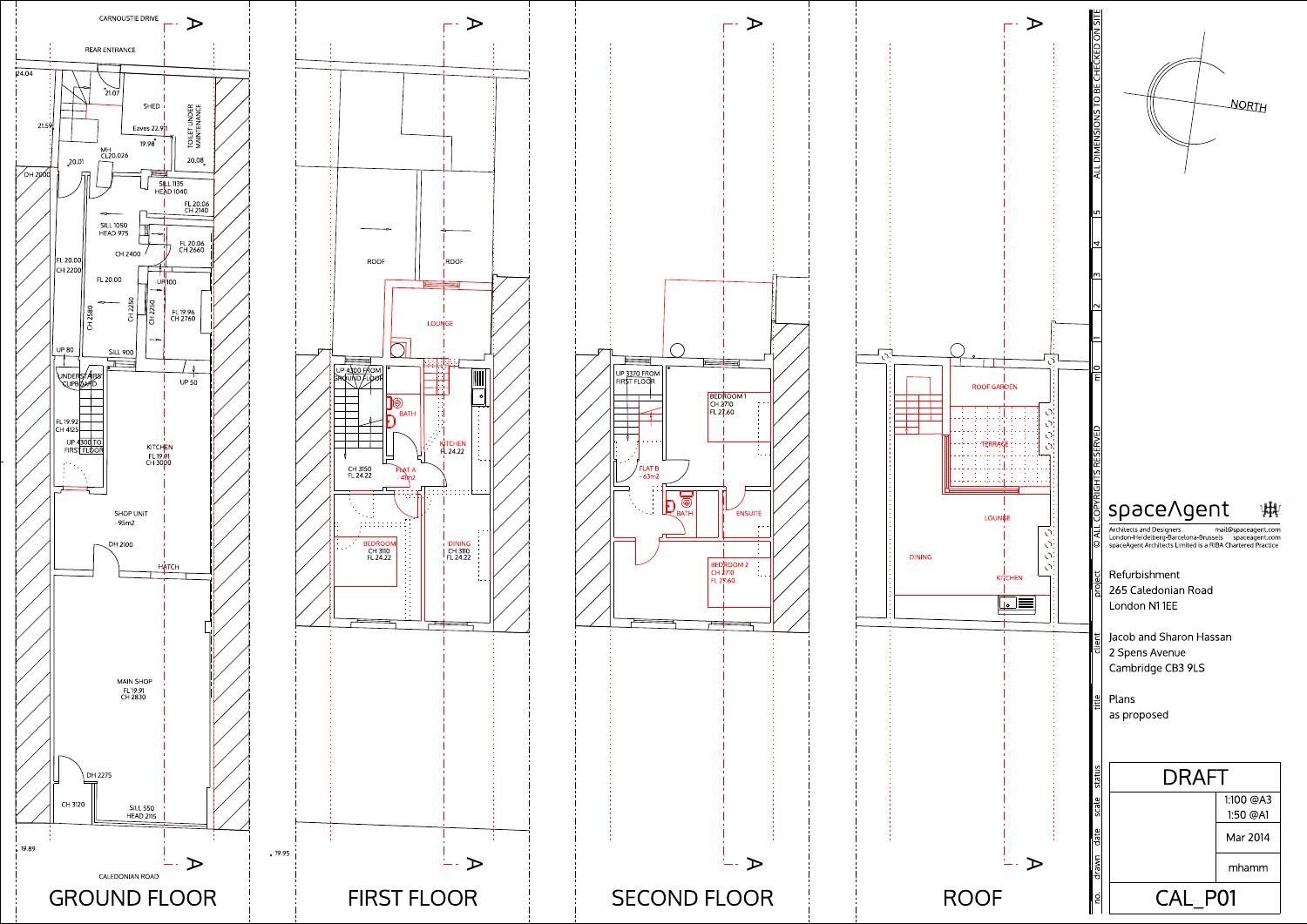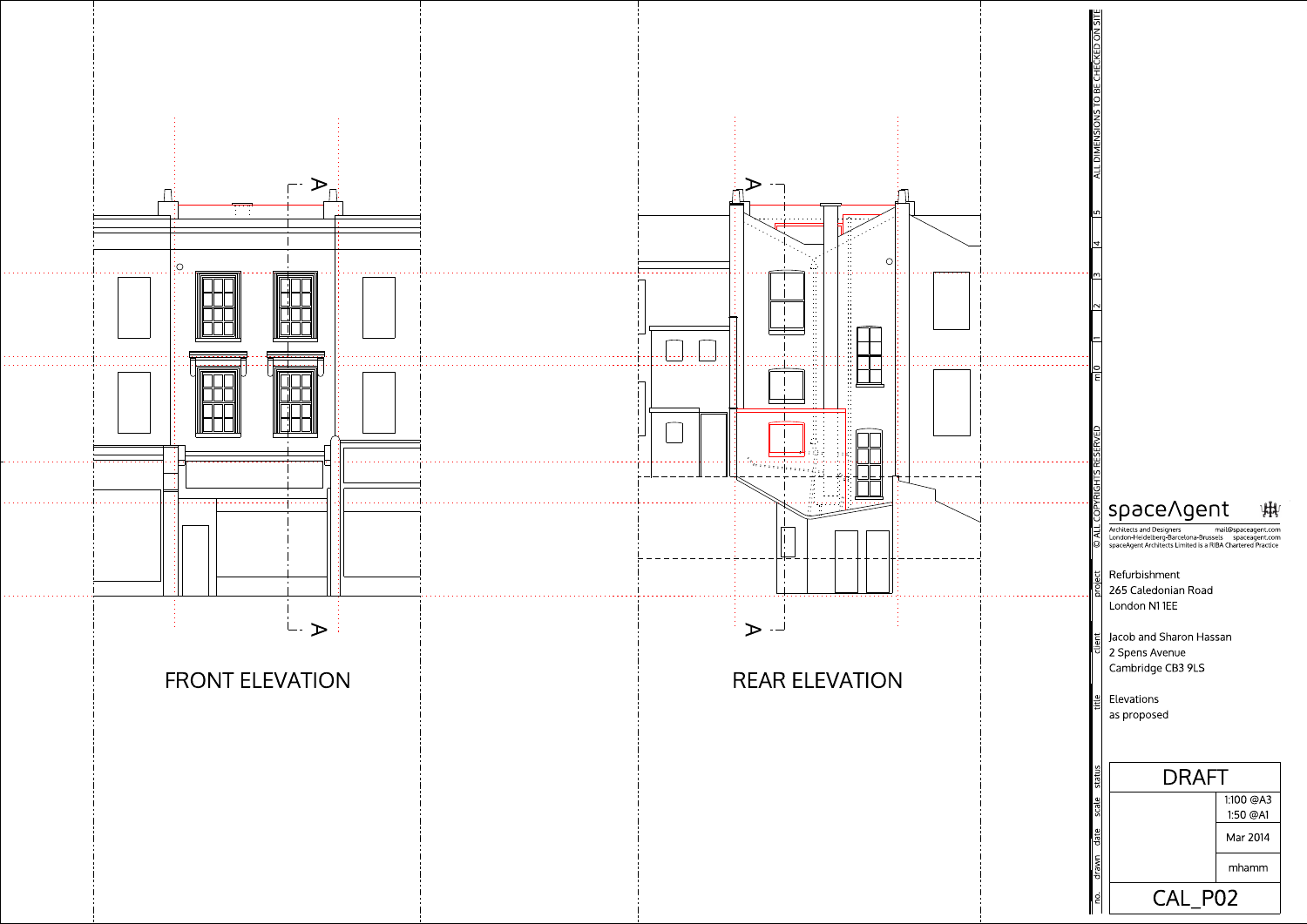

<u>. . . . . . . . .</u>



## space/gent 脚

265 Caledonian Road Refurbishment London N1 1EE

Jacob and Sharon Hassan 2 Spens Avenue Cambridge CB3 9LS

mail@spaceagent.com Architects and Designers London-Heidelberg-Barcelona-Brussels spaceagent.com<br>spaceAgent Architects Limited is a RIBA Chartered Practice

as proposed Elevations



ALLDIM ENSIONSTO BECHECKED ON SITE

 $\mathcal{L}$ 

 $\frac{2}{15}$   $\frac{3}{14}$   $\frac{15}{12}$ 

 $\overline{\phantom{1}}$ 

©

ALL COPYRIGHTS RESERVED